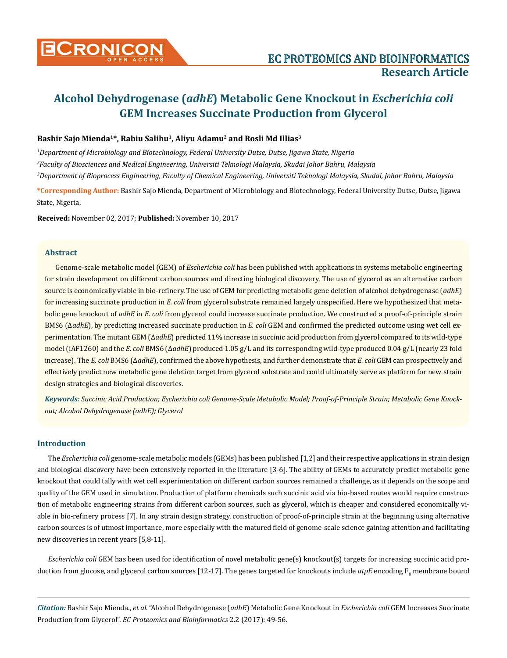

# **Alcohol Dehydrogenase (***adhE***) Metabolic Gene Knockout in** *Escherichia coli*  **GEM Increases Succinate Production from Glycerol**

# **Bashir Sajo Mienda1\*, Rabiu Salihu1, Aliyu Adamu2 and Rosli Md Illias3**

*1 Department of Microbiology and Biotechnology, Federal University Dutse, Dutse, Jigawa State, Nigeria 2 Faculty of Biosciences and Medical Engineering, Universiti Teknologi Malaysia, Skudai Johor Bahru, Malaysia 3 Department of Bioprocess Engineering, Faculty of Chemical Engineering, Universiti Teknologi Malaysia, Skudai, Johor Bahru, Malaysia*

**\*Corresponding Author:** Bashir Sajo Mienda, Department of Microbiology and Biotechnology, Federal University Dutse, Dutse, Jigawa State, Nigeria.

**Received:** November 02, 2017; **Published:** November 10, 2017

# **Abstract**

Genome-scale metabolic model (GEM) of *Escherichia coli* has been published with applications in systems metabolic engineering for strain development on different carbon sources and directing biological discovery. The use of glycerol as an alternative carbon source is economically viable in bio-refinery. The use of GEM for predicting metabolic gene deletion of alcohol dehydrogenase (*adhE*) for increasing succinate production in *E. coli* from glycerol substrate remained largely unspecified. Here we hypothesized that metabolic gene knockout of *adhE* in *E. coli* from glycerol could increase succinate production. We constructed a proof-of-principle strain BMS6 (Δ*adhE*), by predicting increased succinate production in *E. coli* GEM and confirmed the predicted outcome using wet cell experimentation. The mutant GEM (Δ*adhE*) predicted 11% increase in succinic acid production from glycerol compared to its wild-type model (iAF1260) and the *E. coli* BMS6 (Δ*adhE*) produced 1.05 g/L and its corresponding wild-type produced 0.04 g/L (nearly 23 fold increase). The *E. coli* BMS6 (Δ*adhE*), confirmed the above hypothesis, and further demonstrate that *E. coli* GEM can prospectively and effectively predict new metabolic gene deletion target from glycerol substrate and could ultimately serve as platform for new strain design strategies and biological discoveries.

*Keywords: Succinic Acid Production; Escherichia coli Genome-Scale Metabolic Model; Proof-of-Principle Strain; Metabolic Gene Knockout; Alcohol Dehydrogenase (adhE); Glycerol*

# **Introduction**

The *Escherichia coli* genome-scale metabolic models (GEMs) has been published [1,2] and their respective applications in strain design and biological discovery have been extensively reported in the literature [3-6]. The ability of GEMs to accurately predict metabolic gene knockout that could tally with wet cell experimentation on different carbon sources remained a challenge, as it depends on the scope and quality of the GEM used in simulation. Production of platform chemicals such succinic acid via bio-based routes would require construction of metabolic engineering strains from different carbon sources, such as glycerol, which is cheaper and considered economically viable in bio-refinery process [7]. In any strain design strategy, construction of proof-of-principle strain at the beginning using alternative carbon sources is of utmost importance, more especially with the matured field of genome-scale science gaining attention and facilitating new discoveries in recent years [5,8-11].

*Escherichia coli* GEM has been used for identification of novel metabolic gene(s) knockout(s) targets for increasing succinic acid production from glucose, and glycerol carbon sources [12-17]. The genes targeted for knockouts include *atpE* encoding  $\rm F_{0}$  membrane bound

*Citation:* Bashir Sajo Mienda., *et al*. "Alcohol Dehydrogenase (*adhE*) Metabolic Gene Knockout in *Escherichia coli* GEM Increases Succinate Production from Glycerol". *EC Proteomics and Bioinformatics* 2.2 (2017): 49-56.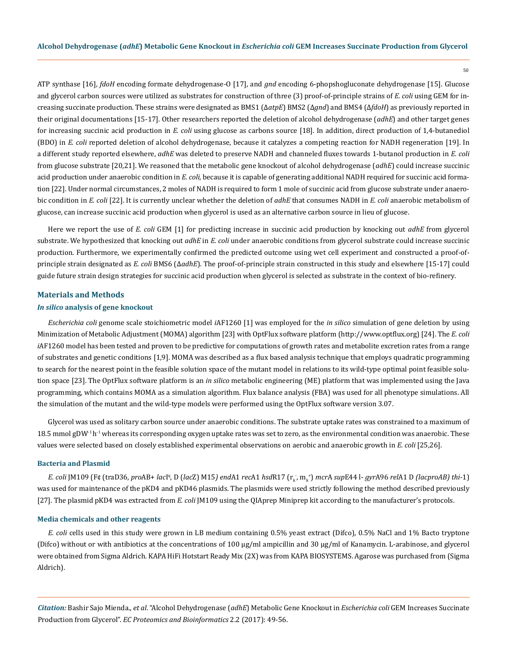ATP synthase [16], *fdoH* encoding formate dehydrogenase-O [17], and *gnd* encoding 6-phopshogluconate dehydrogenase [15]. Glucose and glycerol carbon sources were utilized as substrates for construction of three (3) proof-of-principle strains of *E. coli* using GEM for increasing succinate production. These strains were designated as BMS1 (Δ*atpE*) BMS2 (Δ*gnd*) and BMS4 (Δ*fdoH*) as previously reported in their original documentations [15-17]. Other researchers reported the deletion of alcohol dehydrogenase (*adhE*) and other target genes for increasing succinic acid production in *E. coli* using glucose as carbons source [18]. In addition, direct production of 1,4-butanediol (BDO) in *E. coli* reported deletion of alcohol dehydrogenase, because it catalyzes a competing reaction for NADH regeneration [19]. In a different study reported elsewhere, *adhE* was deleted to preserve NADH and channeled fluxes towards 1-butanol production in *E. coli* from glucose substrate [20,21]. We reasoned that the metabolic gene knockout of alcohol dehydrogenase (*adhE*) could increase succinic acid production under anaerobic condition in *E. coli,* because it is capable of generating additional NADH required for succinic acid formation [22]. Under normal circumstances, 2 moles of NADH is required to form 1 mole of succinic acid from glucose substrate under anaerobic condition in *E. coli* [22]. It is currently unclear whether the deletion of *adhE* that consumes NADH in *E. coli* anaerobic metabolism of glucose, can increase succinic acid production when glycerol is used as an alternative carbon source in lieu of glucose.

Here we report the use of *E. coli* GEM [1] for predicting increase in succinic acid production by knocking out *adhE* from glycerol substrate. We hypothesized that knocking out *adhE* in *E. coli* under anaerobic conditions from glycerol substrate could increase succinic production. Furthermore, we experimentally confirmed the predicted outcome using wet cell experiment and constructed a proof-ofprinciple strain designated as *E. coli* BMS6 (Δ*adhE*). The proof-of-principle strain constructed in this study and elsewhere [15-17] could guide future strain design strategies for succinic acid production when glycerol is selected as substrate in the context of bio-refinery.

#### **Materials and Methods**

#### *In silico* **analysis of gene knockout**

*Escherichia coli* genome scale stoichiometric model *i*AF1260 [1] was employed for the *in silico* simulation of gene deletion by using Minimization of Metabolic Adjustment (MOMA) algorithm [23] with OptFlux software platform [\(http://www.optflux.org](http://www.optflux.org)) [24]. The *E. coli i*AF1260 model has been tested and proven to be predictive for computations of growth rates and metabolite excretion rates from a range of substrates and genetic conditions [1,9]. MOMA was described as a flux based analysis technique that employs quadratic programming to search for the nearest point in the feasible solution space of the mutant model in relations to its wild-type optimal point feasible solution space [23]. The OptFlux software platform is an *in silico* metabolic engineering (ME) platform that was implemented using the Java programming, which contains MOMA as a simulation algorithm. Flux balance analysis (FBA) was used for all phenotype simulations. All the simulation of the mutant and the wild-type models were performed using the OptFlux software version 3.07.

Glycerol was used as solitary carbon source under anaerobic conditions. The substrate uptake rates was constrained to a maximum of 18.5 mmol gDW<sup>-1</sup>h<sup>-1</sup> whereas its corresponding oxygen uptake rates was set to zero, as the environmental condition was anaerobic. These values were selected based on closely established experimental observations on aerobic and anaerobic growth in *E. coli* [25,26].

#### **Bacteria and Plasmid**

E. coli JM109 (F¢ (traD36, proAB+ lacIª, D (lacZ) M15) endA1 recA1 hsdR17 (r<sub>k</sub>, m<sub>k</sub>) mcrA supE44 l- gyrA96 relA1 D (lacproAB) thi-1) was used for maintenance of the pKD4 and pKD46 plasmids. The plasmids were used strictly following the method described previously [27]. The plasmid pKD4 was extracted from *E. coli* JM109 using the QIAprep Miniprep kit according to the manufacturer's protocols.

#### **Media chemicals and other reagents**

*E. coli* cells used in this study were grown in LB medium containing 0.5% yeast extract (Difco), 0.5% NaCl and 1% Bacto tryptone (Difco) without or with antibiotics at the concentrations of 100 µg/ml ampicillin and 30 µg/ml of Kanamycin. L-arabinose, and glycerol were obtained from Sigma Aldrich. KAPA HiFi Hotstart Ready Mix (2X) was from KAPA BIOSYSTEMS. Agarose was purchased from (Sigma Aldrich).

*Citation:* Bashir Sajo Mienda., *et al*. "Alcohol Dehydrogenase (*adhE*) Metabolic Gene Knockout in *Escherichia coli* GEM Increases Succinate Production from Glycerol". *EC Proteomics and Bioinformatics* 2.2 (2017): 49-56.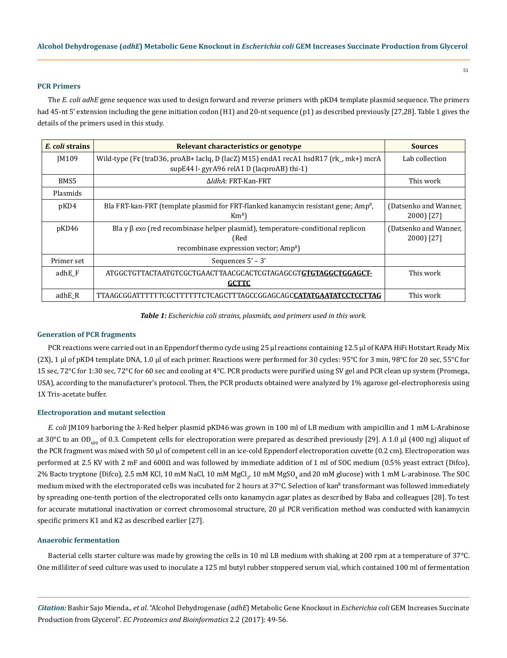#### **PCR Primers**

The *E. coli adhE* gene sequence was used to design forward and reverse primers with pKD4 template plasmid sequence. The primers had 45-nt 5' extension including the gene initiation codon (H1) and 20-nt sequence (p1) as described previously [27,28]. Table 1 gives the details of the primers used in this study.

| E. coli strains | Relevant characteristics or genotype                                                                                                                     | <b>Sources</b>                      |
|-----------------|----------------------------------------------------------------------------------------------------------------------------------------------------------|-------------------------------------|
| <b>IM109</b>    | Wild-type (F¢ (traD36, proAB+ lacIq, D (lacZ) M15) endA1 recA1 hsdR17 (rk_, mk+) mcrA<br>supE44 l- gyrA96 relA1 D (lacproAB) thi-1)                      | Lab collection                      |
| BMS5            | AldhA: FRT-Kan-FRT                                                                                                                                       | This work                           |
| Plasmids        |                                                                                                                                                          |                                     |
| pKD4            | Bla FRT-kan-FRT (template plasmid for FRT-flanked kanamycin resistant gene; Amp <sup>R</sup> ,<br>$Km^{R}$                                               | (Datsenko and Wanner,<br>2000) [27] |
| pKD46           | Bla $\gamma$ $\beta$ exo (red recombinase helper plasmid), temperature-conditional replicon<br>(Red<br>recombinase expression vector; Amp <sup>R</sup> ) | (Datsenko and Wanner,<br>2000) [27] |
| Primer set      | Sequences $5' - 3'$                                                                                                                                      |                                     |
| adhE F          | ATGGCTGTTACTAATGTCGCTGAACTTAACGCACTCGTAGAGCGT <b>GTGTAGGCTGGAGCT-</b><br><b>GCTTC</b>                                                                    | This work                           |
| adhE R          | TTAAGCGGATTTTTTCGCTTTTTTCTCAGCTTTAGCCGGAGCAGC <b>CATATGAATATCCTCCTTAG</b>                                                                                | This work                           |

*Table 1: Escherichia coli strains, plasmids, and primers used in this work.*

#### **Generation of PCR fragments**

PCR reactions were carried out in an Eppendorf thermo cycle using 25 µl reactions containing 12.5 µl of KAPA HiFi Hotstart Ready Mix (2X), 1 µl of pKD4 template DNA, 1.0 µl of each primer. Reactions were performed for 30 cycles: 95°C for 3 min, 98°C for 20 sec, 55°C for 15 sec, 72°C for 1:30 sec, 72°C for 60 sec and cooling at 4°C. PCR products were purified using SV gel and PCR clean up system (Promega, USA), according to the manufacturer's protocol. Then, the PCR products obtained were analyzed by 1% agarose gel-electrophoresis using 1X Tris-acetate buffer.

## **Electroporation and mutant selection**

*E. coli* JM109 harboring the λ-Red helper plasmid pKD46 was grown in 100 ml of LB medium with ampicillin and 1 mM L-Arabinose at 30°C to an OD<sub>600</sub> of 0.3. Competent cells for electroporation were prepared as described previously [29]. A 1.0 µl (400 ng) aliquot of the PCR fragment was mixed with 50 µl of competent cell in an ice-cold Eppendorf electroporation cuvette (0.2 cm). Electroporation was performed at 2.5 KV with 2 mF and 600Ω and was followed by immediate addition of 1 ml of SOC medium (0.5% yeast extract (Difco), 2% Bacto tryptone (Difco), 2.5 mM KCl, 10 mM NaCl, 10 mM MgCl<sub>2</sub>, 10 mM MgSO<sub>4</sub> and 20 mM glucose) with 1 mM L-arabinose. The SOC medium mixed with the electroporated cells was incubated for 2 hours at 37°C. Selection of kan<sup>R</sup> transformant was followed immediately by spreading one-tenth portion of the electroporated cells onto kanamycin agar plates as described by Baba and colleagues [28]. To test for accurate mutational inactivation or correct chromosomal structure, 20 µl PCR verification method was conducted with kanamycin specific primers K1 and K2 as described earlier [27].

#### **Anaerobic fermentation**

Bacterial cells starter culture was made by growing the cells in 10 ml LB medium with shaking at 200 rpm at a temperature of 37°C. One milliliter of seed culture was used to inoculate a 125 ml butyl rubber stoppered serum vial, which contained 100 ml of fermentation

*Citation:* Bashir Sajo Mienda., *et al*. "Alcohol Dehydrogenase (*adhE*) Metabolic Gene Knockout in *Escherichia coli* GEM Increases Succinate Production from Glycerol". *EC Proteomics and Bioinformatics* 2.2 (2017): 49-56.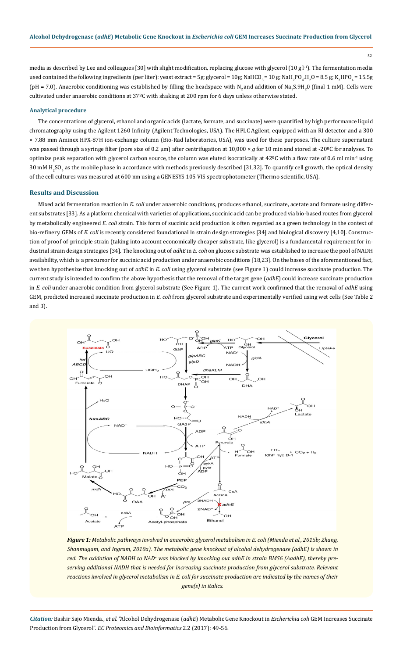52

media as described by Lee and colleagues [30] with slight modification, replacing glucose with glycerol (10 g  $l<sup>1</sup>$ ). The fermentation media used contained the following ingredients (per liter): yeast extract = 5g; glycerol = 10g; NaHCO $_3$ = 10 g; NaH $_2$ PO $_4$ .H $_2$ O = 8.5 g; K $_2$ HPO $_4$ = 15.5g (pH = 7.0). Anaerobic conditioning was established by filling the headspace with N<sub>2</sub> and addition of Na<sub>2</sub>S.9H<sub>2</sub>0 (final 1 mM). Cells were cultivated under anaerobic conditions at 37ºC with shaking at 200 rpm for 6 days unless otherwise stated.

#### **Analytical procedure**

The concentrations of glycerol, ethanol and organic acids (lactate, formate, and succinate) were quantified by high performance liquid chromatography using the Agilent 1260 Infinity (Agilent Technologies, USA). The HPLC Agilent, equipped with an RI detector and a 300 × 7.88 mm Aminex HPX-87H ion-exchange column (Bio-Rad laboratories, USA), was used for these purposes. The culture supernatant was passed through a syringe filter (pore size of 0.2 μm) after centrifugation at 10,000 × *g* for 10 min and stored at -20<sup>o</sup>C for analyses. To optimize peak separation with glycerol carbon source, the column was eluted isocratically at  $42^{\circ}$ C with a flow rate of 0.6 ml min<sup>-1</sup> using 30 mM H<sub>2</sub>SO<sub>4</sub> as the mobile phase in accordance with methods previously described [31,32]. To quantify cell growth, the optical density of the cell cultures was measured at 600 nm using a GENESYS 105 VIS spectrophotometer (Thermo scientific, USA).

# **Results and Discussion**

Mixed acid fermentation reaction in *E. coli* under anaerobic conditions, produces ethanol, succinate, acetate and formate using different substrates [33]. As a platform chemical with varieties of applications, succinic acid can be produced via bio-based routes from glycerol by metabolically engineered *E. coli* strain. This form of succinic acid production is often regarded as a green technology in the context of bio-refinery. GEMs of *E. coli* is recently considered foundational in strain design strategies [34] and biological discovery [4,10]. Construction of proof-of-principle strain (taking into account economically cheaper substrate, like glycerol) is a fundamental requirement for industrial strain design strategies [34]. The knocking out of *adhE* in *E. coli* on glucose substrate was established to increase the pool of NADH availability, which is a precursor for succinic acid production under anaerobic conditions [18,23]. On the bases of the aforementioned fact, we then hypothesize that knocking out of *adhE* in *E. coli* using glycerol substrate (see Figure 1) could increase succinate production. The current study is intended to confirm the above hypothesis that the removal of the target gene (*adhE*) could increase succinate production in *E. coli* under anaerobic condition from glycerol substrate (See Figure 1). The current work confirmed that the removal of *adhE* using GEM, predicted increased succinate production in *E. coli* from glycerol substrate and experimentally verified using wet cells (See Table 2 and 3).



*Figure 1: Metabolic pathways involved in anaerobic glycerol metabolism in E. coli (Mienda et al., 2015b; Zhang, Shanmugam, and Ingram, 2010a). The metabolic gene knockout of alcohol dehydrogenase (adhE) is shown in*  red. The oxidation of NADH to NAD<sup>+</sup> was blocked by knocking out adhE in strain BMS6 (ΔadhE), thereby pre*serving additional NADH that is needed for increasing succinate production from glycerol substrate. Relevant reactions involved in glycerol metabolism in E. coli for succinate production are indicated by the names of their gene(s) in italics.*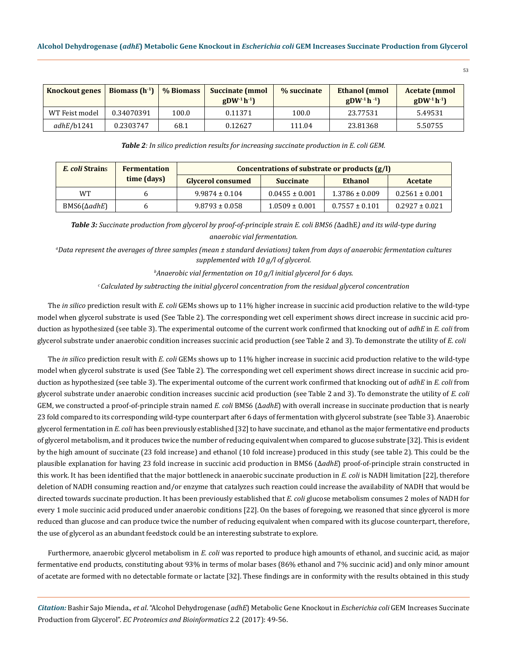| <b>Knockout genes</b> | Biomass $(h^{-1})$ | % Biomass | <b>Succinate (mmol)</b><br>$gDW^{-1}h^{-1}$ | % succinate | <b>Ethanol</b> (mmol)<br>$gDW^{-1}h^{-1}$ | <b>Acetate (mmol)</b><br>$gDW^{-1}h^{-1}$ |
|-----------------------|--------------------|-----------|---------------------------------------------|-------------|-------------------------------------------|-------------------------------------------|
| WT Feist model        | 0.34070391         | 100.0     | 0.11371                                     | 100.0       | 23.77531                                  | 5.49531                                   |
| adhE/b1241            | 0.2303747          | 68.1      | 0.12627                                     | 111.04      | 23.81368                                  | 5.50755                                   |

*Table 2: In silico prediction results for increasing succinate production in E. coli GEM.*

| <i>E. coli</i> Strains | <b>Fermentation</b> | Concentrations of substrate or products $(g/I)$ |                    |                    |                    |  |  |
|------------------------|---------------------|-------------------------------------------------|--------------------|--------------------|--------------------|--|--|
|                        | time (days)         | <b>Glycerol consumed</b>                        | <b>Succinate</b>   | Ethanol            | Acetate            |  |  |
| <b>WT</b>              |                     | $9.9874 \pm 0.104$                              | $0.0455 \pm 0.001$ | $1.3786 \pm 0.009$ | $0.2561 \pm 0.001$ |  |  |
| $BMS6(\Delta adhE)$    |                     | $9.8793 \pm 0.058$                              | $1.0509 \pm 0.001$ | $0.7557 \pm 0.101$ | $0.2927 \pm 0.021$ |  |  |

*Table 3: Succinate production from glycerol by proof-of-principle strain E. coli BMS6 (*ΔadhE*) and its wild-type during anaerobic vial fermentation.*

*a Data represent the averages of three samples (mean ± standard deviations) taken from days of anaerobic fermentation cultures supplemented with 10 g/l of glycerol.* 

*b Anaerobic vial fermentation on 10 g/l initial glycerol for 6 days.* 

*c Calculated by subtracting the initial glycerol concentration from the residual glycerol concentration*

The *in silico* prediction result with *E. coli* GEMs shows up to 11% higher increase in succinic acid production relative to the wild-type model when glycerol substrate is used (See Table 2). The corresponding wet cell experiment shows direct increase in succinic acid production as hypothesized (see table 3). The experimental outcome of the current work confirmed that knocking out of *adhE* in *E. coli* from glycerol substrate under anaerobic condition increases succinic acid production (see Table 2 and 3). To demonstrate the utility of *E. coli*

The *in silico* prediction result with *E. coli* GEMs shows up to 11% higher increase in succinic acid production relative to the wild-type model when glycerol substrate is used (See Table 2). The corresponding wet cell experiment shows direct increase in succinic acid production as hypothesized (see table 3). The experimental outcome of the current work confirmed that knocking out of *adhE* in *E. coli* from glycerol substrate under anaerobic condition increases succinic acid production (see Table 2 and 3). To demonstrate the utility of *E. coli* GEM, we constructed a proof-of-principle strain named *E. coli* BMS6 (Δ*adhE*) with overall increase in succinate production that is nearly 23 fold compared to its corresponding wild-type counterpart after 6 days of fermentation with glycerol substrate (see Table 3). Anaerobic glycerol fermentation in *E. coli* has been previously established [32] to have succinate, and ethanol as the major fermentative end products of glycerol metabolism, and it produces twice the number of reducing equivalent when compared to glucose substrate [32]. This is evident by the high amount of succinate (23 fold increase) and ethanol (10 fold increase) produced in this study (see table 2). This could be the plausible explanation for having 23 fold increase in succinic acid production in BMS6 (Δ*adhE*) proof-of-principle strain constructed in this work. It has been identified that the major bottleneck in anaerobic succinate production in *E. coli* is NADH limitation [22], therefore deletion of NADH consuming reaction and/or enzyme that catalyzes such reaction could increase the availability of NADH that would be directed towards succinate production. It has been previously established that *E. coli* glucose metabolism consumes 2 moles of NADH for every 1 mole succinic acid produced under anaerobic conditions [22]. On the bases of foregoing, we reasoned that since glycerol is more reduced than glucose and can produce twice the number of reducing equivalent when compared with its glucose counterpart, therefore, the use of glycerol as an abundant feedstock could be an interesting substrate to explore.

Furthermore, anaerobic glycerol metabolism in *E. coli* was reported to produce high amounts of ethanol, and succinic acid, as major fermentative end products, constituting about 93% in terms of molar bases (86% ethanol and 7% succinic acid) and only minor amount of acetate are formed with no detectable formate or lactate [32]. These findings are in conformity with the results obtained in this study

*Citation:* Bashir Sajo Mienda., *et al*. "Alcohol Dehydrogenase (*adhE*) Metabolic Gene Knockout in *Escherichia coli* GEM Increases Succinate Production from Glycerol". *EC Proteomics and Bioinformatics* 2.2 (2017): 49-56.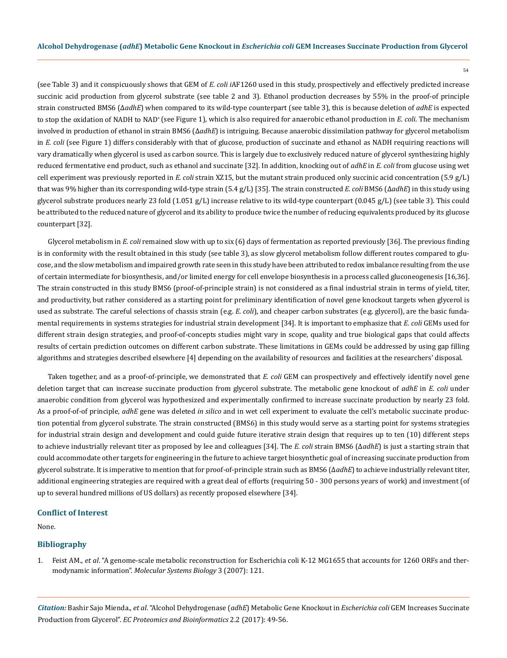(see Table 3) and it conspicuously shows that GEM of *E. coli i*AF1260 used in this study, prospectively and effectively predicted increase succinic acid production from glycerol substrate (see table 2 and 3). Ethanol production decreases by 55% in the proof-of principle strain constructed BMS6 (Δ*adhE*) when compared to its wild-type counterpart (see table 3), this is because deletion of *adhE* is expected to stop the oxidation of NADH to NAD+ (see Figure 1), which is also required for anaerobic ethanol production in *E. coli*. The mechanism involved in production of ethanol in strain BMS6 (Δ*adhE*) is intriguing. Because anaerobic dissimilation pathway for glycerol metabolism in *E. coli* (see Figure 1) differs considerably with that of glucose, production of succinate and ethanol as NADH requiring reactions will vary dramatically when glycerol is used as carbon source. This is largely due to exclusively reduced nature of glycerol synthesizing highly reduced fermentative end product, such as ethanol and succinate [32]. In addition, knocking out of *adhE* in *E. coli* from glucose using wet cell experiment was previously reported in *E. coli* strain XZ15, but the mutant strain produced only succinic acid concentration (5.9 g/L) that was 9% higher than its corresponding wild-type strain (5.4 g/L) [35]. The strain constructed *E. coli* BMS6 (Δ*adhE*) in this study using glycerol substrate produces nearly 23 fold (1.051 g/L) increase relative to its wild-type counterpart (0.045 g/L) (see table 3). This could be attributed to the reduced nature of glycerol and its ability to produce twice the number of reducing equivalents produced by its glucose counterpart [32].

Glycerol metabolism in *E. coli* remained slow with up to six (6) days of fermentation as reported previously [36]. The previous finding is in conformity with the result obtained in this study (see table 3), as slow glycerol metabolism follow different routes compared to glucose, and the slow metabolism and impaired growth rate seen in this study have been attributed to redox imbalance resulting from the use of certain intermediate for biosynthesis, and/or limited energy for cell envelope biosynthesis in a process called gluconeogenesis [16,36]. The strain constructed in this study BMS6 (proof-of-principle strain) is not considered as a final industrial strain in terms of yield, titer, and productivity, but rather considered as a starting point for preliminary identification of novel gene knockout targets when glycerol is used as substrate. The careful selections of chassis strain (e.g. *E. coli*), and cheaper carbon substrates (e.g. glycerol), are the basic fundamental requirements in systems strategies for industrial strain development [34]. It is important to emphasize that *E. coli* GEMs used for different strain design strategies, and proof-of-concepts studies might vary in scope, quality and true biological gaps that could affects results of certain prediction outcomes on different carbon substrate. These limitations in GEMs could be addressed by using gap filling algorithms and strategies described elsewhere [4] depending on the availability of resources and facilities at the researchers' disposal.

Taken together, and as a proof-of-principle, we demonstrated that *E. coli* GEM can prospectively and effectively identify novel gene deletion target that can increase succinate production from glycerol substrate. The metabolic gene knockout of *adhE* in *E. coli* under anaerobic condition from glycerol was hypothesized and experimentally confirmed to increase succinate production by nearly 23 fold. As a proof-of-of principle, *adhE* gene was deleted *in silico* and in wet cell experiment to evaluate the cell's metabolic succinate production potential from glycerol substrate. The strain constructed (BMS6) in this study would serve as a starting point for systems strategies for industrial strain design and development and could guide future iterative strain design that requires up to ten (10) different steps to achieve industrially relevant titer as proposed by lee and colleagues [34]. The *E. coli* strain BMS6 (Δ*adhE*) is just a starting strain that could accommodate other targets for engineering in the future to achieve target biosynthetic goal of increasing succinate production from glycerol substrate. It is imperative to mention that for proof-of-principle strain such as BMS6 (Δ*adhE*) to achieve industrially relevant titer, additional engineering strategies are required with a great deal of efforts (requiring 50 - 300 persons years of work) and investment (of up to several hundred millions of US dollars) as recently proposed elsewhere [34].

#### **Conflict of Interest**

None.

## **Bibliography**

1. Feist AM., *et al*[. "A genome-scale metabolic reconstruction for Escherichia coli K-12 MG1655 that accounts for 1260 ORFs and ther](https://www.ncbi.nlm.nih.gov/pubmed/17593909)modynamic information". *[Molecular Systems Biology](https://www.ncbi.nlm.nih.gov/pubmed/17593909)* 3 (2007): 121.

*Citation:* Bashir Sajo Mienda., *et al*. "Alcohol Dehydrogenase (*adhE*) Metabolic Gene Knockout in *Escherichia coli* GEM Increases Succinate Production from Glycerol". *EC Proteomics and Bioinformatics* 2.2 (2017): 49-56.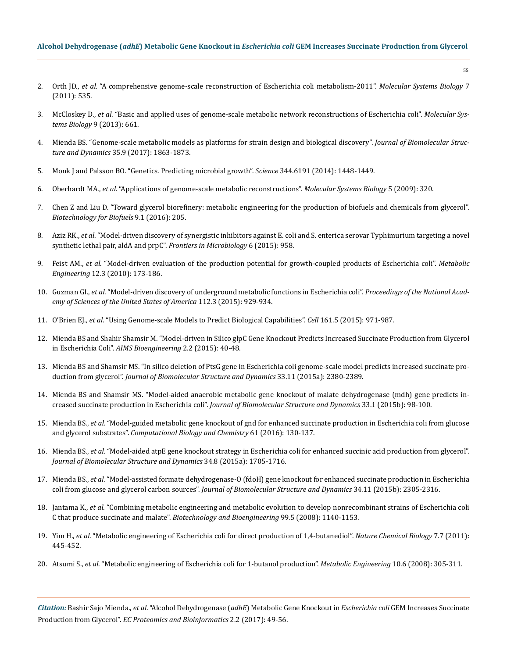## **Alcohol Dehydrogenase (***adhE***) Metabolic Gene Knockout in** *Escherichia coli* **GEM Increases Succinate Production from Glycerol**

- 2. Orth JD., *et al*[. "A comprehensive genome-scale reconstruction of Escherichia coli metabolism-2011".](https://www.ncbi.nlm.nih.gov/pubmed/21988831) *Molecular Systems Biology* 7 [\(2011\): 535.](https://www.ncbi.nlm.nih.gov/pubmed/21988831)
- 3. McCloskey D., *et al*[. "Basic and applied uses of genome-scale metabolic network reconstructions of Escherichia coli".](https://www.ncbi.nlm.nih.gov/pubmed/23632383) *Molecular Sys[tems Biology](https://www.ncbi.nlm.nih.gov/pubmed/23632383)* 9 (2013): 661.
- 4. [Mienda BS. "Genome-scale metabolic models as platforms for strain design and biological discovery".](https://www.ncbi.nlm.nih.gov/pubmed/27251747) *Journal of Biomolecular Structure and Dynamics* [35.9 \(2017\): 1863-1873.](https://www.ncbi.nlm.nih.gov/pubmed/27251747)
- 5. [Monk J and Palsson BO. "Genetics. Predicting microbial growth".](https://www.ncbi.nlm.nih.gov/pubmed/24970063) *Science* 344.6191 (2014): 1448-1449.
- 6. Oberhardt MA., *et al*[. "Applications of genome-scale metabolic reconstructions".](https://www.ncbi.nlm.nih.gov/pubmed/19888215) *Molecular Systems Biology* 5 (2009): 320.
- 7. [Chen Z and Liu D. "Toward glycerol biorefinery: metabolic engineering for the production of biofuels and chemicals from glycerol".](https://biotechnologyforbiofuels.biomedcentral.com/articles/10.1186/s13068-016-0625-8)  *[Biotechnology for Biofuels](https://biotechnologyforbiofuels.biomedcentral.com/articles/10.1186/s13068-016-0625-8)* 9.1 (2016): 205.
- 8. Aziz RK., *et al*[. "Model-driven discovery of synergistic inhibitors against E. coli and S. enterica serovar Typhimurium targeting a novel](https://www.ncbi.nlm.nih.gov/pubmed/26441892) [synthetic lethal pair, aldA and prpC".](https://www.ncbi.nlm.nih.gov/pubmed/26441892) *Frontiers in Microbiology* 6 (2015): 958.
- 9. Feist AM., *et al*[. "Model-driven evaluation of the production potential for growth-coupled products of Escherichia coli".](https://www.ncbi.nlm.nih.gov/pubmed/19840862) *Metabolic Engineering* [12.3 \(2010\): 173-186.](https://www.ncbi.nlm.nih.gov/pubmed/19840862)
- 10. Guzman GI., *et al*[. "Model-driven discovery of underground metabolic functions in Escherichia coli".](https://www.ncbi.nlm.nih.gov/pubmed/25564669) *Proceedings of the National Acad[emy of Sciences of the United States of America](https://www.ncbi.nlm.nih.gov/pubmed/25564669)* 112.3 (2015): 929-934.
- 11. O'Brien EJ., *et al*[. "Using Genome-scale Models to Predict Biological Capabilities".](https://www.ncbi.nlm.nih.gov/pubmed/26000478) *Cell* 161.5 (2015): 971-987.
- 12. [Mienda BS and Shahir Shamsir M. "Model-driven in Silico glpC Gene Knockout Predicts Increased Succinate Production from Glycerol](https://www.researchgate.net/publication/274388217_Model-driven_in_Silico_glpC_Gene_Knockout_Predicts_Increased_Succinate_Production_from_Glycerol_in_Escherichia_Coli) in Escherichia Coli". *[AIMS Bioengineering](https://www.researchgate.net/publication/274388217_Model-driven_in_Silico_glpC_Gene_Knockout_Predicts_Increased_Succinate_Production_from_Glycerol_in_Escherichia_Coli)* 2.2 (2015): 40-48.
- 13. [Mienda BS and Shamsir MS. "In silico deletion of PtsG gene in Escherichia coli genome-scale model predicts increased succinate pro](https://www.ncbi.nlm.nih.gov/pubmed/25921851)duction from glycerol". *[Journal of Biomolecular Structure and Dynamics](https://www.ncbi.nlm.nih.gov/pubmed/25921851)* 33.11 (2015a): 2380-2389.
- 14. [Mienda BS and Shamsir MS. "Model-aided anaerobic metabolic gene knockout of malate dehydrogenase \(mdh\) gene predicts in](https://www.ncbi.nlm.nih.gov/pubmed/26103364)[creased succinate production in Escherichia coli".](https://www.ncbi.nlm.nih.gov/pubmed/26103364) *Journal of Biomolecular Structure and Dynamics* 33.1 (2015b): 98-100.
- 15. Mienda BS., *et al*[. "Model-guided metabolic gene knockout of gnd for enhanced succinate production in Escherichia coli from glucose](https://www.ncbi.nlm.nih.gov/pubmed/26878126)  and glycerol substrates". *[Computational Biology and Chemistry](https://www.ncbi.nlm.nih.gov/pubmed/26878126)* 61 (2016): 130-137.
- 16. Mienda BS., *et al*[. "Model-aided atpE gene knockout strategy in Escherichia coli for enhanced succinic acid production from glycerol".](https://www.ncbi.nlm.nih.gov/pubmed/26513379) *[Journal of Biomolecular Structure and Dynamics](https://www.ncbi.nlm.nih.gov/pubmed/26513379)* 34.8 (2015a): 1705-1716.
- 17. Mienda BS., *et al*[. "Model-assisted formate dehydrogenase-O \(fdoH\) gene knockout for enhanced succinate production in Escherichia](https://www.ncbi.nlm.nih.gov/pubmed/26510527) coli from glucose and glycerol carbon sources". *[Journal of Biomolecular Structure and Dynamics](https://www.ncbi.nlm.nih.gov/pubmed/26510527)* 34.11 (2015b): 2305-2316.
- 18. Jantama K., *et al*[. "Combining metabolic engineering and metabolic evolution to develop nonrecombinant strains of Escherichia coli](https://www.ncbi.nlm.nih.gov/pubmed/17972330) C that produce succinate and malate". *[Biotechnology and Bioengineering](https://www.ncbi.nlm.nih.gov/pubmed/17972330)* 99.5 (2008): 1140-1153.
- 19. Yim H., *et al*[. "Metabolic engineering of Escherichia coli for direct production of 1,4-butanediol".](https://www.ncbi.nlm.nih.gov/pubmed/21602812) *Nature Chemical Biology* 7.7 (2011): [445-452.](https://www.ncbi.nlm.nih.gov/pubmed/21602812)
- 20. Atsumi S., *et al*[. "Metabolic engineering of Escherichia coli for 1-butanol production".](https://www.ncbi.nlm.nih.gov/pubmed/17942358) *Metabolic Engineering* 10.6 (2008): 305-311.

*Citation:* Bashir Sajo Mienda., *et al*. "Alcohol Dehydrogenase (*adhE*) Metabolic Gene Knockout in *Escherichia coli* GEM Increases Succinate Production from Glycerol". *EC Proteomics and Bioinformatics* 2.2 (2017): 49-56.